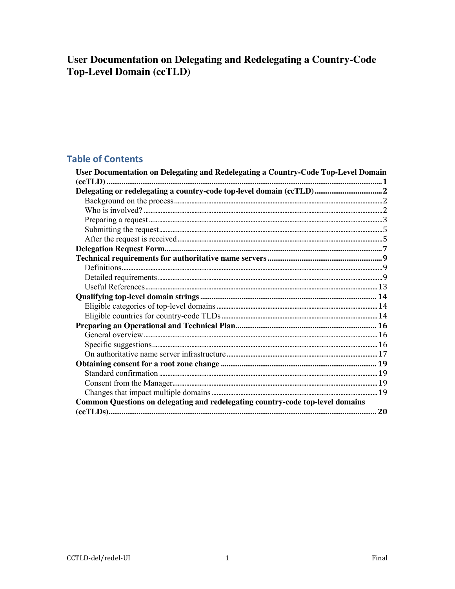# User Documentation on Delegating and Redelegating a Country-Code **Top-Level Domain (ccTLD)**

## **Table of Contents**

| User Documentation on Delegating and Redelegating a Country-Code Top-Level Domain |  |
|-----------------------------------------------------------------------------------|--|
|                                                                                   |  |
| Delegating or redelegating a country-code top-level domain (ccTLD) 2              |  |
|                                                                                   |  |
|                                                                                   |  |
|                                                                                   |  |
|                                                                                   |  |
|                                                                                   |  |
|                                                                                   |  |
|                                                                                   |  |
|                                                                                   |  |
|                                                                                   |  |
|                                                                                   |  |
|                                                                                   |  |
|                                                                                   |  |
|                                                                                   |  |
|                                                                                   |  |
|                                                                                   |  |
|                                                                                   |  |
|                                                                                   |  |
|                                                                                   |  |
|                                                                                   |  |
|                                                                                   |  |
|                                                                                   |  |
| Common Questions on delegating and redelegating country-code top-level domains    |  |
|                                                                                   |  |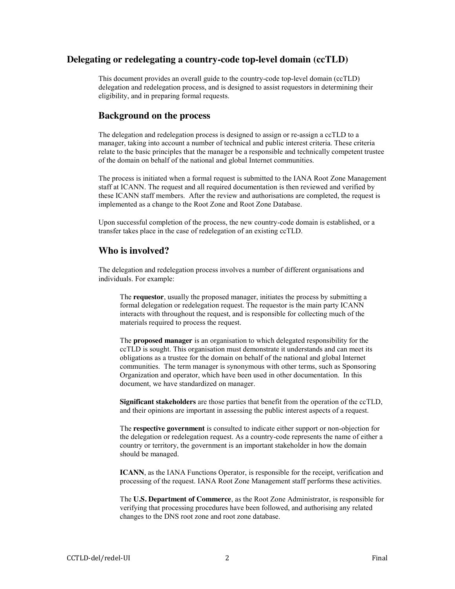## **Delegating or redelegating a country-code top-level domain (ccTLD)**

This document provides an overall guide to the country-code top-level domain (ccTLD) delegation and redelegation process, and is designed to assist requestors in determining their eligibility, and in preparing formal requests.

### **Background on the process**

The delegation and redelegation process is designed to assign or re-assign a ccTLD to a manager, taking into account a number of technical and public interest criteria. These criteria relate to the basic principles that the manager be a responsible and technically competent trustee of the domain on behalf of the national and global Internet communities.

The process is initiated when a formal request is submitted to the IANA Root Zone Management staff at ICANN. The request and all required documentation is then reviewed and verified by these ICANN staff members. After the review and authorisations are completed, the request is implemented as a change to the Root Zone and Root Zone Database.

Upon successful completion of the process, the new country-code domain is established, or a transfer takes place in the case of redelegation of an existing ccTLD.

### **Who is involved?**

The delegation and redelegation process involves a number of different organisations and individuals. For example:

The **requestor**, usually the proposed manager, initiates the process by submitting a formal delegation or redelegation request. The requestor is the main party ICANN interacts with throughout the request, and is responsible for collecting much of the materials required to process the request.

The **proposed manager** is an organisation to which delegated responsibility for the ccTLD is sought. This organisation must demonstrate it understands and can meet its obligations as a trustee for the domain on behalf of the national and global Internet communities. The term manager is synonymous with other terms, such as Sponsoring Organization and operator, which have been used in other documentation. In this document, we have standardized on manager.

**Significant stakeholders** are those parties that benefit from the operation of the ccTLD, and their opinions are important in assessing the public interest aspects of a request.

The **respective government** is consulted to indicate either support or non-objection for the delegation or redelegation request. As a country-code represents the name of either a country or territory, the government is an important stakeholder in how the domain should be managed.

**ICANN**, as the IANA Functions Operator, is responsible for the receipt, verification and processing of the request. IANA Root Zone Management staff performs these activities.

The **U.S. Department of Commerce**, as the Root Zone Administrator, is responsible for verifying that processing procedures have been followed, and authorising any related changes to the DNS root zone and root zone database.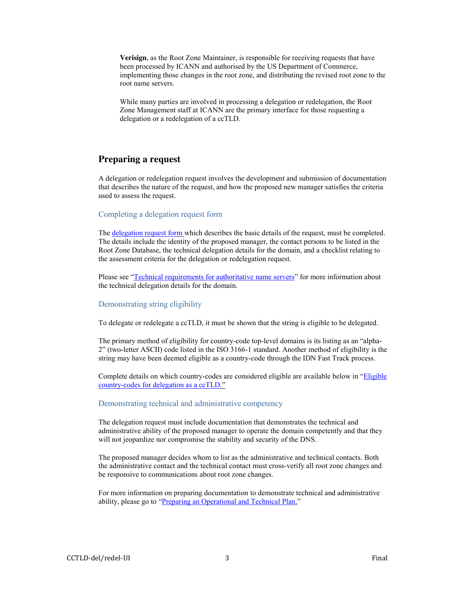**Verisign**, as the Root Zone Maintainer, is responsible for receiving requests that have been processed by ICANN and authorised by the US Department of Commerce, implementing those changes in the root zone, and distributing the revised root zone to the root name servers.

While many parties are involved in processing a delegation or redelegation, the Root Zone Management staff at ICANN are the primary interface for those requesting a delegation or a redelegation of a ccTLD.

### **Preparing a request**

A delegation or redelegation request involves the development and submission of documentation that describes the nature of the request, and how the proposed new manager satisfies the criteria used to assess the request.

#### Completing a delegation request form

Th[e delegation request form](#page-6-0) which describes the basic details of the request, must be completed. The details include the identity of the proposed manager, the contact persons to be listed in the Root Zone Database, the technical delegation details for the domain, and a checklist relating to the assessment criteria for the delegation or redelegation request.

Please see "[Technical requirements for authoritative name servers](#page-8-0)" for more information about the technical delegation details for the domain.

#### Demonstrating string eligibility

To delegate or redelegate a ccTLD, it must be shown that the string is eligible to be delegated.

The primary method of eligibility for country-code top-level domains is its listing as an "alpha-2" (two-letter ASCII) code listed in the ISO 3166-1 standard. Another method of eligibility is the string may have been deemed eligible as a country-code through the IDN Fast Track process.

Complete details on which country-codes are considered eligible are available below in "[Eligible](#page-13-0)  [country-codes for delegation as a ccTLD](#page-13-0)."

#### Demonstrating technical and administrative competency

The delegation request must include documentation that demonstrates the technical and administrative ability of the proposed manager to operate the domain competently and that they will not jeopardize nor compromise the stability and security of the DNS.

The proposed manager decides whom to list as the administrative and technical contacts. Both the administrative contact and the technical contact must cross-verify all root zone changes and be responsive to communications about root zone changes.

For more information on preparing documentation to demonstrate technical and administrative ability, please go to "[Preparing an Operational and Technical Plan.](#page-15-0)"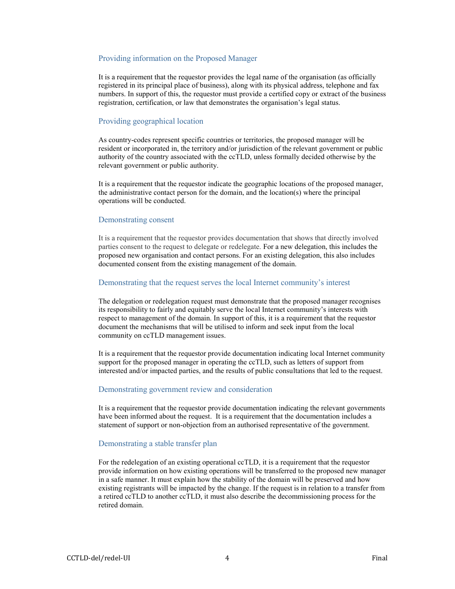#### Providing information on the Proposed Manager

It is a requirement that the requestor provides the legal name of the organisation (as officially registered in its principal place of business), along with its physical address, telephone and fax numbers. In support of this, the requestor must provide a certified copy or extract of the business registration, certification, or law that demonstrates the organisation's legal status.

#### Providing geographical location

As country-codes represent specific countries or territories, the proposed manager will be resident or incorporated in, the territory and/or jurisdiction of the relevant government or public authority of the country associated with the ccTLD, unless formally decided otherwise by the relevant government or public authority.

It is a requirement that the requestor indicate the geographic locations of the proposed manager, the administrative contact person for the domain, and the location(s) where the principal operations will be conducted.

#### Demonstrating consent

It is a requirement that the requestor provides documentation that shows that directly involved parties consent to the request to delegate or redelegate. For a new delegation, this includes the proposed new organisation and contact persons. For an existing delegation, this also includes documented consent from the existing management of the domain.

#### Demonstrating that the request serves the local Internet community's interest

The delegation or redelegation request must demonstrate that the proposed manager recognises its responsibility to fairly and equitably serve the local Internet community's interests with respect to management of the domain. In support of this, it is a requirement that the requestor document the mechanisms that will be utilised to inform and seek input from the local community on ccTLD management issues.

It is a requirement that the requestor provide documentation indicating local Internet community support for the proposed manager in operating the ccTLD, such as letters of support from interested and/or impacted parties, and the results of public consultations that led to the request.

#### Demonstrating government review and consideration

It is a requirement that the requestor provide documentation indicating the relevant governments have been informed about the request. It is a requirement that the documentation includes a statement of support or non-objection from an authorised representative of the government.

#### Demonstrating a stable transfer plan

For the redelegation of an existing operational ccTLD, it is a requirement that the requestor provide information on how existing operations will be transferred to the proposed new manager in a safe manner. It must explain how the stability of the domain will be preserved and how existing registrants will be impacted by the change. If the request is in relation to a transfer from a retired ccTLD to another ccTLD, it must also describe the decommissioning process for the retired domain.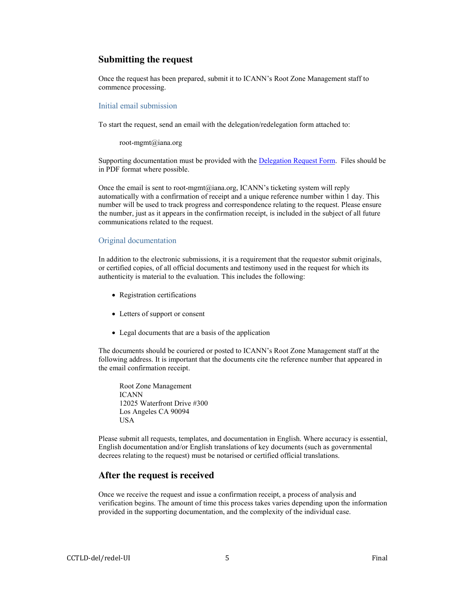### **Submitting the request**

Once the request has been prepared, submit it to ICANN's Root Zone Management staff to commence processing.

#### Initial email submission

To start the request, send an email with the delegation/redelegation form attached to:

root-mgmt@iana.org

Supporting documentation must be provided with the [Delegation Request Form.](#page-6-0) Files should be in PDF format where possible.

Once the email is sent to root-mgmt@iana.org, ICANN's ticketing system will reply automatically with a confirmation of receipt and a unique reference number within 1 day. This number will be used to track progress and correspondence relating to the request. Please ensure the number, just as it appears in the confirmation receipt, is included in the subject of all future communications related to the request.

#### Original documentation

In addition to the electronic submissions, it is a requirement that the requestor submit originals, or certified copies, of all official documents and testimony used in the request for which its authenticity is material to the evaluation. This includes the following:

- Registration certifications
- Letters of support or consent
- Legal documents that are a basis of the application

The documents should be couriered or posted to ICANN's Root Zone Management staff at the following address. It is important that the documents cite the reference number that appeared in the email confirmation receipt.

Root Zone Management ICANN 12025 Waterfront Drive #300 Los Angeles CA 90094 USA

Please submit all requests, templates, and documentation in English. Where accuracy is essential, English documentation and/or English translations of key documents (such as governmental decrees relating to the request) must be notarised or certified official translations.

## **After the request is received**

Once we receive the request and issue a confirmation receipt, a process of analysis and verification begins. The amount of time this process takes varies depending upon the information provided in the supporting documentation, and the complexity of the individual case.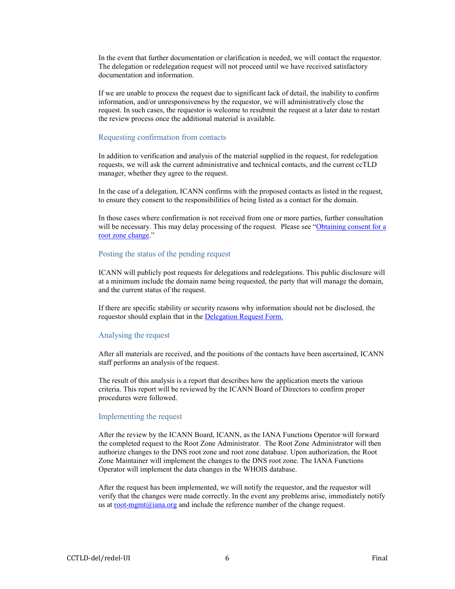In the event that further documentation or clarification is needed, we will contact the requestor. The delegation or redelegation request will not proceed until we have received satisfactory documentation and information.

If we are unable to process the request due to significant lack of detail, the inability to confirm information, and/or unresponsiveness by the requestor, we will administratively close the request. In such cases, the requestor is welcome to resubmit the request at a later date to restart the review process once the additional material is available.

#### Requesting confirmation from contacts

In addition to verification and analysis of the material supplied in the request, for redelegation requests, we will ask the current administrative and technical contacts, and the current ccTLD manager, whether they agree to the request.

In the case of a delegation, ICANN confirms with the proposed contacts as listed in the request, to ensure they consent to the responsibilities of being listed as a contact for the domain.

In those cases where confirmation is not received from one or more parties, further consultation will be necessary. This may delay processing of the request. Please see "Obtaining consent for a [root zone change](#page-18-0)."

### Posting the status of the pending request

ICANN will publicly post requests for delegations and redelegations. This public disclosure will at a minimum include the domain name being requested, the party that will manage the domain, and the current status of the request.

If there are specific stability or security reasons why information should not be disclosed, the requestor should explain that in the [Delegation Request Form.](#page-6-0)

#### Analysing the request

After all materials are received, and the positions of the contacts have been ascertained, ICANN staff performs an analysis of the request.

The result of this analysis is a report that describes how the application meets the various criteria. This report will be reviewed by the ICANN Board of Directors to confirm proper procedures were followed.

#### Implementing the request

After the review by the ICANN Board, ICANN, as the IANA Functions Operator will forward the completed request to the Root Zone Administrator. The Root Zone Administrator will then authorize changes to the DNS root zone and root zone database. Upon authorization, the Root Zone Maintainer will implement the changes to the DNS root zone. The IANA Functions Operator will implement the data changes in the WHOIS database.

After the request has been implemented, we will notify the requestor, and the requestor will verify that the changes were made correctly. In the event any problems arise, immediately notify us a[t root-mgmt@iana.org](mailto:root-mgmt@iana.org) and include the reference number of the change request.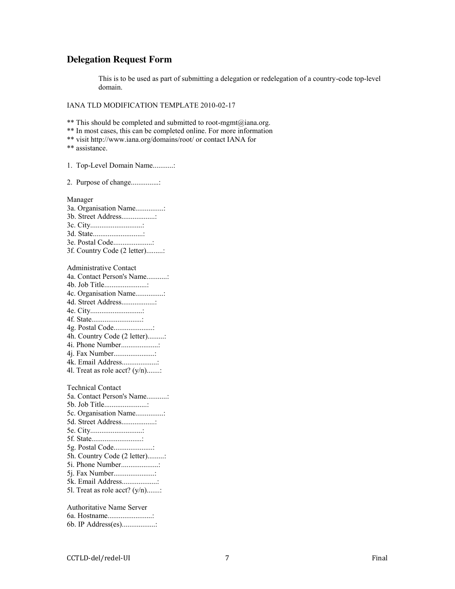### <span id="page-6-0"></span>**Delegation Request Form**

This is to be used as part of submitting a delegation or redelegation of a country-code top-level domain.

IANA TLD MODIFICATION TEMPLATE 2010-02-17

\*\* This should be completed and submitted to root-mgmt@iana.org.

\*\* In most cases, this can be completed online. For more information

\*\* visit http://www.iana.org/domains/root/ or contact IANA for

\*\* assistance.

1. Top-Level Domain Name...........:

2. Purpose of change...............:

Manager

- 3a. Organisation Name...............: 3b. Street Address..................: 3c. City............................: 3d. State...........................: 3e. Postal Code.....................: 3f. Country Code (2 letter).........:
- Administrative Contact 4a. Contact Person's Name...........: 4b. Job Title.......................: 4c. Organisation Name...............: 4d. Street Address..................: 4e. City............................: 4f. State...........................: 4g. Postal Code.....................: 4h. Country Code (2 letter).........: 4i. Phone Number....................: 4j. Fax Number......................: 4k. Email Address...................: 4l. Treat as role acct?  $(y/n)$ ........
- Technical Contact 5a. Contact Person's Name...........: 5b. Job Title.......................: 5c. Organisation Name...............: 5d. Street Address..................: 5e. City............................: 5f. State...........................: 5g. Postal Code.....................: 5h. Country Code (2 letter).........: 5i. Phone Number....................: 5j. Fax Number......................: 5k. Email Address...................: 5l. Treat as role acct?  $(y/n)$ ........

Authoritative Name Server 6a. Hostname........................: 6b. IP Address(es)..................: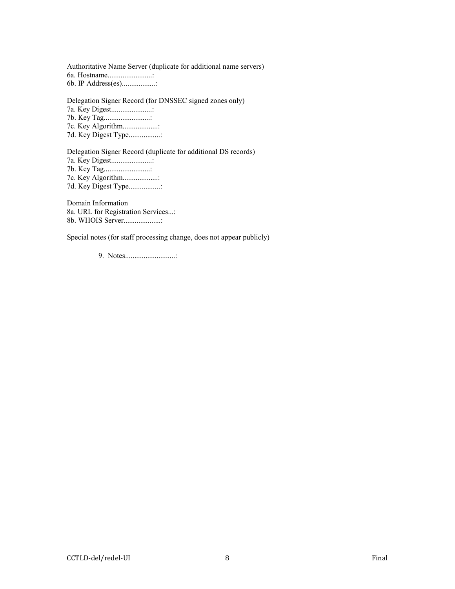Authoritative Name Server (duplicate for additional name servers) 6a. Hostname........................: 6b. IP Address(es)..................:

Delegation Signer Record (for DNSSEC signed zones only)

7a. Key Digest......................:

7b. Key Tag.........................:

7c. Key Algorithm...................:

7d. Key Digest Type.................:

Delegation Signer Record (duplicate for additional DS records)

7a. Key Digest......................: 7b. Key Tag.........................: 7c. Key Algorithm...................:

7d. Key Digest Type.................:

Domain Information 8a. URL for Registration Services...: 8b. WHOIS Server....................:

Special notes (for staff processing change, does not appear publicly)

9. Notes...........................: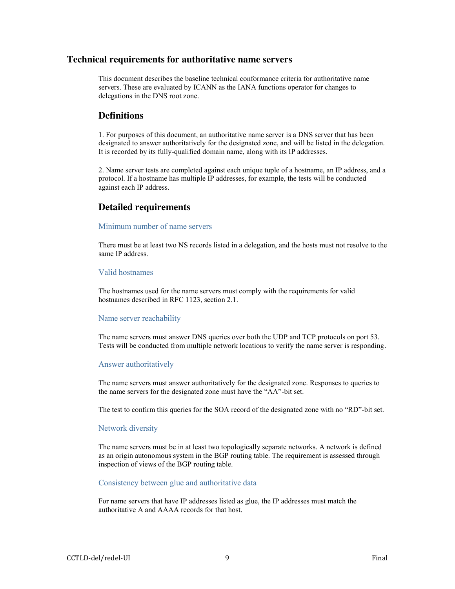### <span id="page-8-0"></span>**Technical requirements for authoritative name servers**

This document describes the baseline technical conformance criteria for authoritative name servers. These are evaluated by ICANN as the IANA functions operator for changes to delegations in the DNS root zone.

## **Definitions**

1. For purposes of this document, an authoritative name server is a DNS server that has been designated to answer authoritatively for the designated zone, and will be listed in the delegation. It is recorded by its fully-qualified domain name, along with its IP addresses.

2. Name server tests are completed against each unique tuple of a hostname, an IP address, and a protocol. If a hostname has multiple IP addresses, for example, the tests will be conducted against each IP address.

## **Detailed requirements**

#### Minimum number of name servers

There must be at least two NS records listed in a delegation, and the hosts must not resolve to the same IP address.

#### Valid hostnames

The hostnames used for the name servers must comply with the requirements for valid hostnames described in RFC 1123, section 2.1.

#### Name server reachability

The name servers must answer DNS queries over both the UDP and TCP protocols on port 53. Tests will be conducted from multiple network locations to verify the name server is responding.

#### Answer authoritatively

The name servers must answer authoritatively for the designated zone. Responses to queries to the name servers for the designated zone must have the "AA"-bit set.

The test to confirm this queries for the SOA record of the designated zone with no "RD"-bit set.

#### Network diversity

The name servers must be in at least two topologically separate networks. A network is defined as an origin autonomous system in the BGP routing table. The requirement is assessed through inspection of views of the BGP routing table.

#### Consistency between glue and authoritative data

For name servers that have IP addresses listed as glue, the IP addresses must match the authoritative A and AAAA records for that host.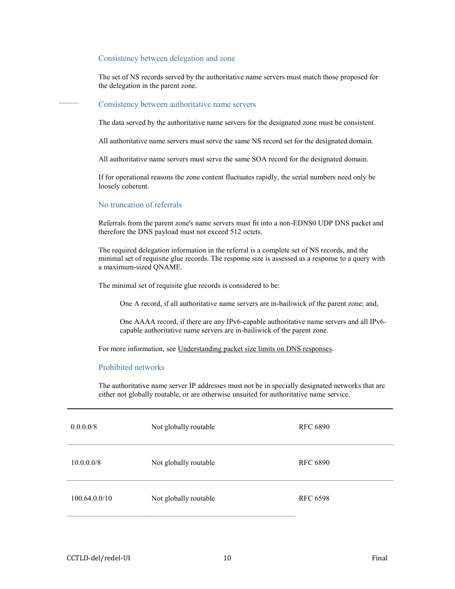#### Consistency between delegation and zone

The set of NS records served by the authoritative name servers must match those proposed for the delegation in the parent zone.

#### Consistency between authoritative name servers

The data served by the authoritative name servers for the designated zone must be consistent.

All authoritative name servers must serve the same NS record set for the designated domain.

All authoritative name servers must serve the same SOA record for the designated domain.

If for operational reasons the zone content fluctuates rapidly, the serial numbers need only be loosely coherent.

#### No truncation of referrals

Referrals from the parent zone's name servers must fit into a non-EDNS0 UDP DNS packet and therefore the DNS payload must not exceed 512 octets.

The required delegation information in the referral is a complete set of NS records, and the minimal set of requisite glue records. The response size is assessed as a response to a query with a maximum-sized QNAME.

The minimal set of requisite glue records is considered to be:

One A record, if all authoritative name servers are in-bailiwick of the parent zone; and,

One AAAA record, if there are any IPv6-capable authoritative name servers and all IPv6 capable authoritative name servers are in-bailiwick of the parent zone.

For more information, see Understanding packet size limits on DNS responses.

#### Prohibited networks

The authoritative name server IP addresses must not be in specially designated networks that are either not globally routable, or are otherwise unsuited for authoritative name service.

| 0.0.0.0/8     | Not globally routable | <b>RFC 6890</b> |
|---------------|-----------------------|-----------------|
| 10.0.0.0/8    | Not globally routable | <b>RFC 6890</b> |
| 100.64.0.0/10 | Not globally routable | <b>RFC 6598</b> |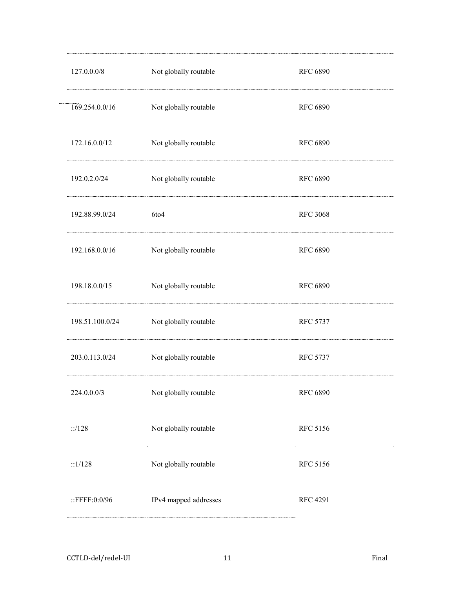| 127.0.0.0/8      | Not globally routable | <b>RFC 6890</b> |
|------------------|-----------------------|-----------------|
| 169.254.0.0/16   | Not globally routable | <b>RFC 6890</b> |
| 172.16.0.0/12    | Not globally routable | <b>RFC 6890</b> |
| 192.0.2.0/24     | Not globally routable | <b>RFC 6890</b> |
| 192.88.99.0/24   | 6to4                  | <b>RFC 3068</b> |
| 192.168.0.0/16   | Not globally routable | <b>RFC 6890</b> |
| 198.18.0.0/15    | Not globally routable | <b>RFC 6890</b> |
| 198.51.100.0/24  | Not globally routable | <b>RFC 5737</b> |
| 203.0.113.0/24   | Not globally routable | <b>RFC 5737</b> |
| 224.0.0.0/3      | Not globally routable | <b>RFC 6890</b> |
| ::/128           | Not globally routable | <b>RFC 5156</b> |
| ::1/128          | Not globally routable | <b>RFC 5156</b> |
| ::FFFF: $0:0/96$ | IPv4 mapped addresses | <b>RFC 4291</b> |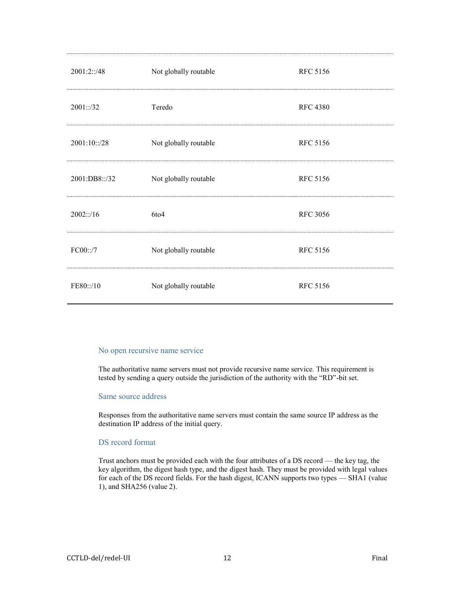| 2001:2::/48   | Not globally routable | <b>RFC 5156</b> |
|---------------|-----------------------|-----------------|
| 2001::/32     | Teredo                | <b>RFC 4380</b> |
| 2001:10::/28  | Not globally routable | <b>RFC 5156</b> |
| 2001:DB8::/32 | Not globally routable | <b>RFC 5156</b> |
| 2002::/16     | 6to4                  | <b>RFC 3056</b> |
| FC00::/7      | Not globally routable | <b>RFC 5156</b> |
| FE80::/10     | Not globally routable | <b>RFC 5156</b> |

#### No open recursive name service

The authoritative name servers must not provide recursive name service. This requirement is tested by sending a query outside the jurisdiction of the authority with the "RD"-bit set.

#### Same source address

Responses from the authoritative name servers must contain the same source IP address as the destination IP address of the initial query.

#### DS record format

Trust anchors must be provided each with the four attributes of a DS record — the key tag, the key algorithm, the digest hash type, and the digest hash. They must be provided with legal values for each of the DS record fields. For the hash digest, ICANN supports two types — SHA1 (value 1), and SHA256 (value 2).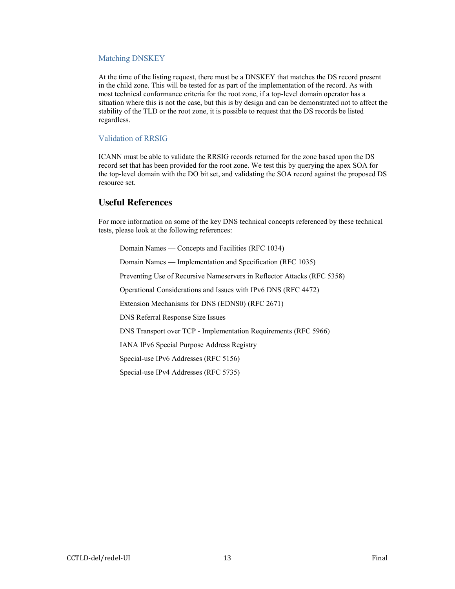#### Matching DNSKEY

At the time of the listing request, there must be a DNSKEY that matches the DS record present in the child zone. This will be tested for as part of the implementation of the record. As with most technical conformance criteria for the root zone, if a top-level domain operator has a situation where this is not the case, but this is by design and can be demonstrated not to affect the stability of the TLD or the root zone, it is possible to request that the DS records be listed regardless.

#### Validation of RRSIG

ICANN must be able to validate the RRSIG records returned for the zone based upon the DS record set that has been provided for the root zone. We test this by querying the apex SOA for the top-level domain with the DO bit set, and validating the SOA record against the proposed DS resource set.

### **Useful References**

For more information on some of the key DNS technical concepts referenced by these technical tests, please look at the following references:

Domain Names — [Concepts and Facilities](http://www.iana.org/go/rfc1034) (RFC 1034)

Domain Names — [Implementation and Specification](http://www.iana.org/go/rfc1035) (RFC 1035)

[Preventing Use of Recursive Nameservers in Reflector Attacks](http://www.iana.org/go/rfc5358) (RFC 5358)

Operational [Considerations and Issues with IPv6 DNS](http://www.iana.org/go/rfc4472) (RFC 4472)

[Extension Mechanisms for DNS \(EDNS0\)](http://www.iana.org/go/rfc2671) (RFC 2671)

[DNS Referral Response Size Issues](http://www.iana.org/go/draft-ietf-dnsop-respsize)

DNS Transport over TCP - [Implementation Requirements](http://www.iana.org/go/rfc5966) (RFC 5966)

[IANA IPv6 Special Purpose Address Registry](http://www.iana.org/assignments/iana-ipv6-special-registry)

[Special-use IPv6 Addresses](http://www.iana.org/go/rfc5156) (RFC 5156)

[Special-use IPv4 Addresses](http://www.iana.org/go/rfc3735) (RFC 5735)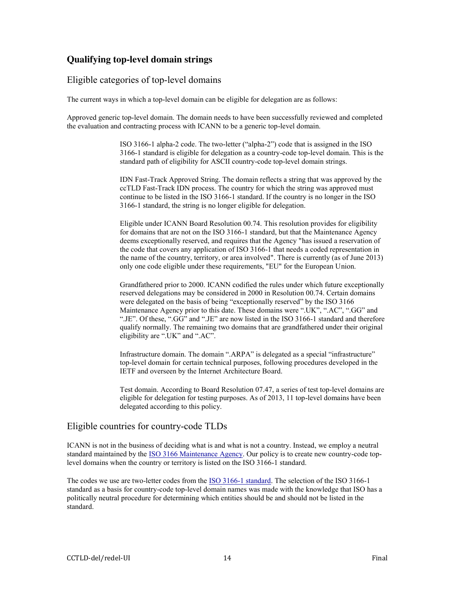## <span id="page-13-0"></span>**Qualifying top-level domain strings**

## Eligible categories of top-level domains

The current ways in which a top-level domain can be eligible for delegation are as follows:

Approved generic top-level domain. The domain needs to have been successfully reviewed and completed the evaluation and contracting process with ICANN to be a generic top-level domain.

> ISO 3166-1 alpha-2 code. The two-letter ("alpha-2") code that is assigned in the ISO 3166-1 standard is eligible for delegation as a country-code top-level domain. This is the standard path of eligibility for ASCII country-code top-level domain strings.

> IDN Fast-Track Approved String. The domain reflects a string that was approved by the ccTLD Fast-Track IDN process. The country for which the string was approved must continue to be listed in the ISO 3166-1 standard. If the country is no longer in the ISO 3166-1 standard, the string is no longer eligible for delegation.

> Eligible under ICANN Board Resolution 00.74. This resolution provides for eligibility for domains that are not on the ISO 3166-1 standard, but that the Maintenance Agency deems exceptionally reserved, and requires that the Agency "has issued a reservation of the code that covers any application of ISO 3166-1 that needs a coded representation in the name of the country, territory, or area involved". There is currently (as of June 2013) only one code eligible under these requirements, "EU" for the European Union.

> Grandfathered prior to 2000. ICANN codified the rules under which future exceptionally reserved delegations may be considered in 2000 in Resolution 00.74. Certain domains were delegated on the basis of being "exceptionally reserved" by the ISO 3166 Maintenance Agency prior to this date. These domains were ".UK", ".AC", ".GG" and ".JE". Of these, ".GG" and ".JE" are now listed in the ISO 3166-1 standard and therefore qualify normally. The remaining two domains that are grandfathered under their original eligibility are ".UK" and ".AC".

Infrastructure domain. The domain ".ARPA" is delegated as a special "infrastructure" top-level domain for certain technical purposes, following procedures developed in the IETF and overseen by the Internet Architecture Board.

Test domain. According to Board Resolution 07.47, a series of test top-level domains are eligible for delegation for testing purposes. As of 2013, 11 top-level domains have been delegated according to this policy.

## Eligible countries for country-code TLDs

ICANN is not in the business of deciding what is and what is not a country. Instead, we employ a neutral standard maintained by the **ISO 3166 Maintenance Agency**. Our policy is to create new country-code toplevel domains when the country or territory is listed on the ISO 3166-1 standard.

The codes we use are two-letter codes from the [ISO 3166-1 standard.](http://www.iso.org/iso/country_codes/iso_3166_code_lists/country_names_and_code_elements.htm) The selection of the ISO 3166-1 standard as a basis for country-code top-level domain names was made with the knowledge that ISO has a politically neutral procedure for determining which entities should be and should not be listed in the standard.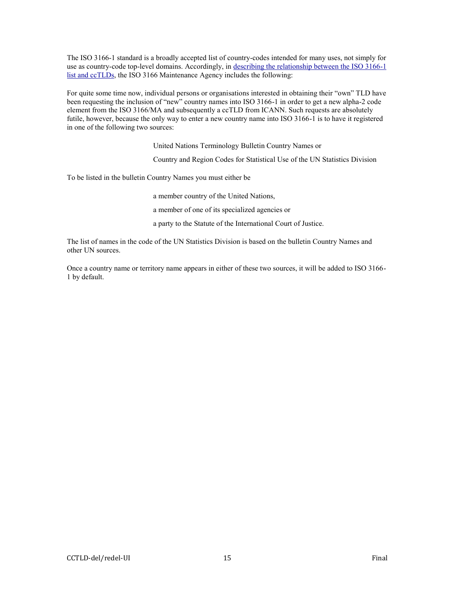The ISO 3166-1 standard is a broadly accepted list of country-codes intended for many uses, not simply for use as country-code top-level domains. Accordingly, in [describing the relationship between the ISO 3166-1](http://www.iso.org/iso/iso_3166-1_and_cctlds)  [list and ccTLDs,](http://www.iso.org/iso/iso_3166-1_and_cctlds) the ISO 3166 Maintenance Agency includes the following:

For quite some time now, individual persons or organisations interested in obtaining their "own" TLD have been requesting the inclusion of "new" country names into ISO 3166-1 in order to get a new alpha-2 code element from the ISO 3166/MA and subsequently a ccTLD from ICANN. Such requests are absolutely futile, however, because the only way to enter a new country name into ISO 3166-1 is to have it registered in one of the following two sources:

United Nations Terminology Bulletin Country Names or

[Country and Region Codes for Statistical Use](http://unstats.un.org/unsd/methods/m49/m49alpha.htm) of the UN Statistics Division

To be listed in the bulletin Country Names you must either be

a member country of the United Nations,

a member of one of its specialized agencies or

a party to the Statute of the International Court of Justice.

The list of names in the code of the UN Statistics Division is based on the bulletin Country Names and other UN sources.

Once a country name or territory name appears in either of these two sources, it will be added to ISO 3166- 1 by default.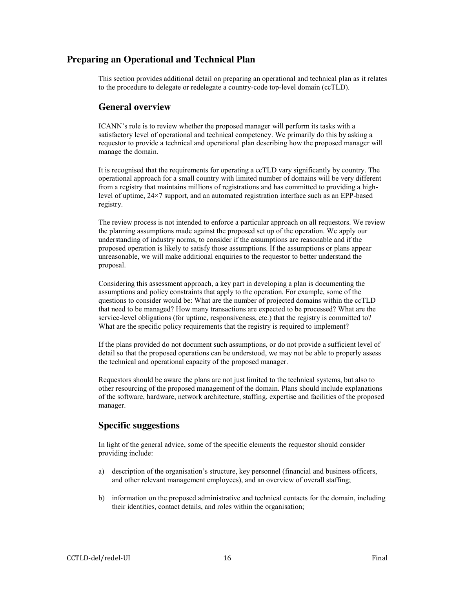## <span id="page-15-0"></span>**Preparing an Operational and Technical Plan**

This section provides additional detail on preparing an operational and technical plan as it relates to the procedure to delegate or redelegate a country-code top-level domain (ccTLD).

### **General overview**

ICANN's role is to review whether the proposed manager will perform its tasks with a satisfactory level of operational and technical competency. We primarily do this by asking a requestor to provide a technical and operational plan describing how the proposed manager will manage the domain.

It is recognised that the requirements for operating a ccTLD vary significantly by country. The operational approach for a small country with limited number of domains will be very different from a registry that maintains millions of registrations and has committed to providing a highlevel of uptime, 24×7 support, and an automated registration interface such as an EPP-based registry.

The review process is not intended to enforce a particular approach on all requestors. We review the planning assumptions made against the proposed set up of the operation. We apply our understanding of industry norms, to consider if the assumptions are reasonable and if the proposed operation is likely to satisfy those assumptions. If the assumptions or plans appear unreasonable, we will make additional enquiries to the requestor to better understand the proposal.

Considering this assessment approach, a key part in developing a plan is documenting the assumptions and policy constraints that apply to the operation. For example, some of the questions to consider would be: What are the number of projected domains within the ccTLD that need to be managed? How many transactions are expected to be processed? What are the service-level obligations (for uptime, responsiveness, etc.) that the registry is committed to? What are the specific policy requirements that the registry is required to implement?

If the plans provided do not document such assumptions, or do not provide a sufficient level of detail so that the proposed operations can be understood, we may not be able to properly assess the technical and operational capacity of the proposed manager.

Requestors should be aware the plans are not just limited to the technical systems, but also to other resourcing of the proposed management of the domain. Plans should include explanations of the software, hardware, network architecture, staffing, expertise and facilities of the proposed manager.

## **Specific suggestions**

In light of the general advice, some of the specific elements the requestor should consider providing include:

- a) description of the organisation's structure, key personnel (financial and business officers, and other relevant management employees), and an overview of overall staffing;
- b) information on the proposed administrative and technical contacts for the domain, including their identities, contact details, and roles within the organisation;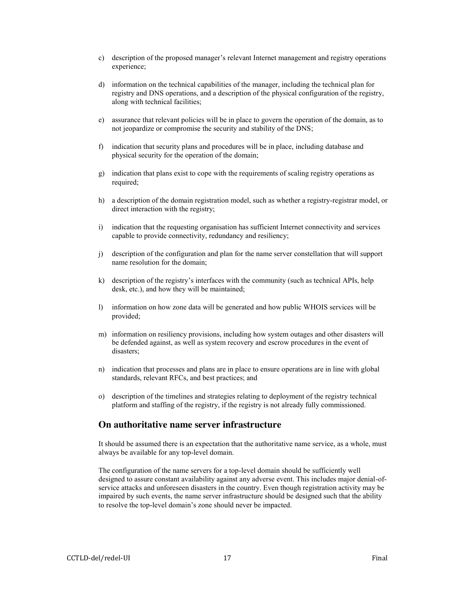- c) description of the proposed manager's relevant Internet management and registry operations experience;
- d) information on the technical capabilities of the manager, including the technical plan for registry and DNS operations, and a description of the physical configuration of the registry, along with technical facilities;
- e) assurance that relevant policies will be in place to govern the operation of the domain, as to not jeopardize or compromise the security and stability of the DNS;
- f) indication that security plans and procedures will be in place, including database and physical security for the operation of the domain;
- g) indication that plans exist to cope with the requirements of scaling registry operations as required;
- h) a description of the domain registration model, such as whether a registry-registrar model, or direct interaction with the registry;
- i) indication that the requesting organisation has sufficient Internet connectivity and services capable to provide connectivity, redundancy and resiliency;
- j) description of the configuration and plan for the name server constellation that will support name resolution for the domain;
- k) description of the registry's interfaces with the community (such as technical APIs, help desk, etc.), and how they will be maintained;
- l) information on how zone data will be generated and how public WHOIS services will be provided;
- m) information on resiliency provisions, including how system outages and other disasters will be defended against, as well as system recovery and escrow procedures in the event of disasters;
- n) indication that processes and plans are in place to ensure operations are in line with global standards, relevant RFCs, and best practices; and
- o) description of the timelines and strategies relating to deployment of the registry technical platform and staffing of the registry, if the registry is not already fully commissioned.

## **On authoritative name server infrastructure**

It should be assumed there is an expectation that the authoritative name service, as a whole, must always be available for any top-level domain.

The configuration of the name servers for a top-level domain should be sufficiently well designed to assure constant availability against any adverse event. This includes major denial-ofservice attacks and unforeseen disasters in the country. Even though registration activity may be impaired by such events, the name server infrastructure should be designed such that the ability to resolve the top-level domain's zone should never be impacted.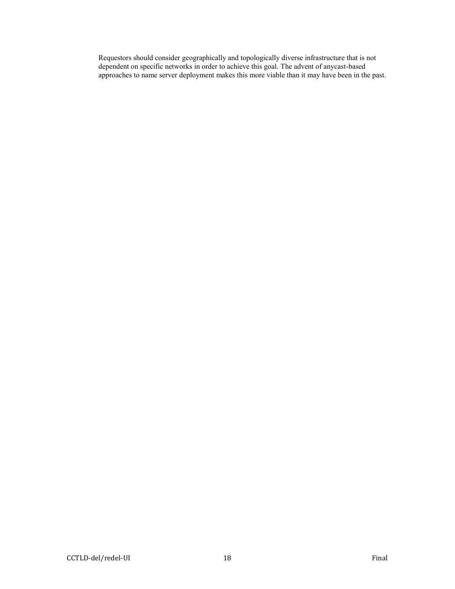Requestors should consider geographically and topologically diverse infrastructure that is not dependent on specific networks in order to achieve this goal. The advent of anycast-based approaches to name server deployment makes this more viable than it may have been in the past.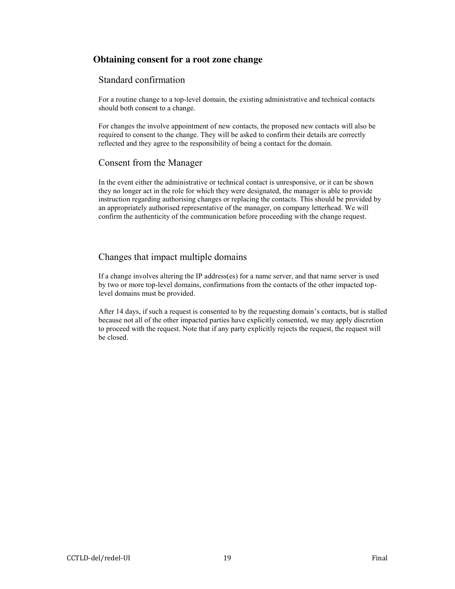## <span id="page-18-0"></span>**Obtaining consent for a root zone change**

## Standard confirmation

For a routine change to a top-level domain, the existing administrative and technical contacts should both consent to a change.

For changes the involve appointment of new contacts, the proposed new contacts will also be required to consent to the change. They will be asked to confirm their details are correctly reflected and they agree to the responsibility of being a contact for the domain.

## Consent from the Manager

In the event either the administrative or technical contact is unresponsive, or it can be shown they no longer act in the role for which they were designated, the manager is able to provide instruction regarding authorising changes or replacing the contacts. This should be provided by an appropriately authorised representative of the manager, on company letterhead. We will confirm the authenticity of the communication before proceeding with the change request.

## Changes that impact multiple domains

If a change involves altering the IP address(es) for a name server, and that name server is used by two or more top-level domains, confirmations from the contacts of the other impacted toplevel domains must be provided.

After 14 days, if such a request is consented to by the requesting domain's contacts, but is stalled because not all of the other impacted parties have explicitly consented, we may apply discretion to proceed with the request. Note that if any party explicitly rejects the request, the request will be closed.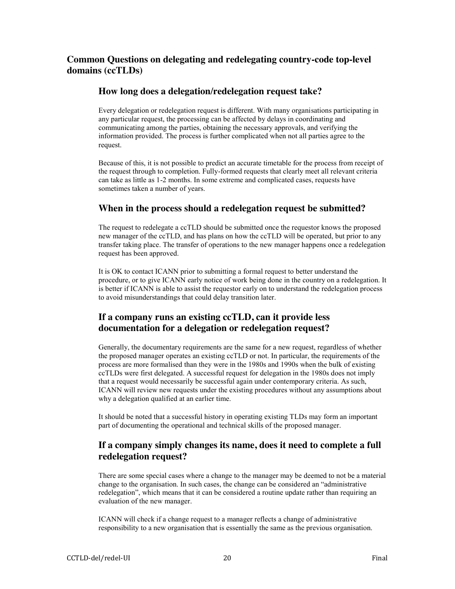## **Common Questions on delegating and redelegating country-code top-level domains (ccTLDs)**

## **How long does a delegation/redelegation request take?**

Every delegation or redelegation request is different. With many organisations participating in any particular request, the processing can be affected by delays in coordinating and communicating among the parties, obtaining the necessary approvals, and verifying the information provided. The process is further complicated when not all parties agree to the request.

Because of this, it is not possible to predict an accurate timetable for the process from receipt of the request through to completion. Fully-formed requests that clearly meet all relevant criteria can take as little as 1-2 months. In some extreme and complicated cases, requests have sometimes taken a number of years.

## **When in the process should a redelegation request be submitted?**

The request to redelegate a ccTLD should be submitted once the requestor knows the proposed new manager of the ccTLD, and has plans on how the ccTLD will be operated, but prior to any transfer taking place. The transfer of operations to the new manager happens once a redelegation request has been approved.

It is OK to contact ICANN prior to submitting a formal request to better understand the procedure, or to give ICANN early notice of work being done in the country on a redelegation. It is better if ICANN is able to assist the requestor early on to understand the redelegation process to avoid misunderstandings that could delay transition later.

## **If a company runs an existing ccTLD, can it provide less documentation for a delegation or redelegation request?**

Generally, the documentary requirements are the same for a new request, regardless of whether the proposed manager operates an existing ccTLD or not. In particular, the requirements of the process are more formalised than they were in the 1980s and 1990s when the bulk of existing ccTLDs were first delegated. A successful request for delegation in the 1980s does not imply that a request would necessarily be successful again under contemporary criteria. As such, ICANN will review new requests under the existing procedures without any assumptions about why a delegation qualified at an earlier time.

It should be noted that a successful history in operating existing TLDs may form an important part of documenting the operational and technical skills of the proposed manager.

## **If a company simply changes its name, does it need to complete a full redelegation request?**

There are some special cases where a change to the manager may be deemed to not be a material change to the organisation. In such cases, the change can be considered an "administrative redelegation", which means that it can be considered a routine update rather than requiring an evaluation of the new manager.

ICANN will check if a change request to a manager reflects a change of administrative responsibility to a new organisation that is essentially the same as the previous organisation.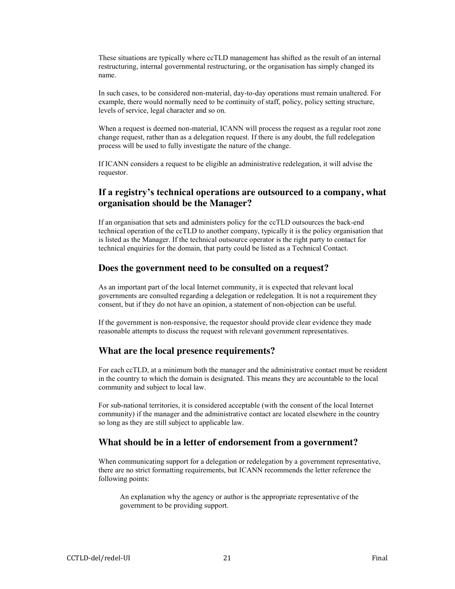These situations are typically where ccTLD management has shifted as the result of an internal restructuring, internal governmental restructuring, or the organisation has simply changed its name.

In such cases, to be considered non-material, day-to-day operations must remain unaltered. For example, there would normally need to be continuity of staff, policy, policy setting structure, levels of service, legal character and so on.

When a request is deemed non-material, ICANN will process the request as a regular root zone change request, rather than as a delegation request. If there is any doubt, the full redelegation process will be used to fully investigate the nature of the change.

If ICANN considers a request to be eligible an administrative redelegation, it will advise the requestor.

## **If a registry's technical operations are outsourced to a company, what organisation should be the Manager?**

If an organisation that sets and administers policy for the ccTLD outsources the back-end technical operation of the ccTLD to another company, typically it is the policy organisation that is listed as the Manager. If the technical outsource operator is the right party to contact for technical enquiries for the domain, that party could be listed as a Technical Contact.

### **Does the government need to be consulted on a request?**

As an important part of the local Internet community, it is expected that relevant local governments are consulted regarding a delegation or redelegation. It is not a requirement they consent, but if they do not have an opinion, a statement of non-objection can be useful.

If the government is non-responsive, the requestor should provide clear evidence they made reasonable attempts to discuss the request with relevant government representatives.

## **What are the local presence requirements?**

For each ccTLD, at a minimum both the manager and the administrative contact must be resident in the country to which the domain is designated. This means they are accountable to the local community and subject to local law.

For sub-national territories, it is considered acceptable (with the consent of the local Internet community) if the manager and the administrative contact are located elsewhere in the country so long as they are still subject to applicable law.

### **What should be in a letter of endorsement from a government?**

When communicating support for a delegation or redelegation by a government representative, there are no strict formatting requirements, but ICANN recommends the letter reference the following points:

An explanation why the agency or author is the appropriate representative of the government to be providing support.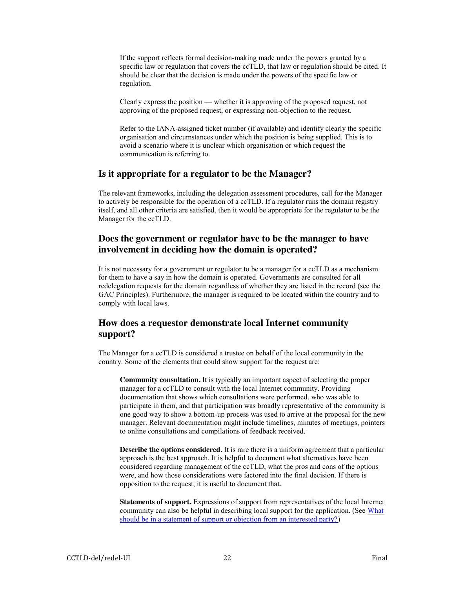If the support reflects formal decision-making made under the powers granted by a specific law or regulation that covers the ccTLD, that law or regulation should be cited. It should be clear that the decision is made under the powers of the specific law or regulation.

Clearly express the position — whether it is approving of the proposed request, not approving of the proposed request, or expressing non-objection to the request.

Refer to the IANA-assigned ticket number (if available) and identify clearly the specific organisation and circumstances under which the position is being supplied. This is to avoid a scenario where it is unclear which organisation or which request the communication is referring to.

### **Is it appropriate for a regulator to be the Manager?**

The relevant frameworks, including the delegation assessment procedures, call for the Manager to actively be responsible for the operation of a ccTLD. If a regulator runs the domain registry itself, and all other criteria are satisfied, then it would be appropriate for the regulator to be the Manager for the ccTLD.

## **Does the government or regulator have to be the manager to have involvement in deciding how the domain is operated?**

It is not necessary for a government or regulator to be a manager for a ccTLD as a mechanism for them to have a say in how the domain is operated. Governments are consulted for all redelegation requests for the domain regardless of whether they are listed in the record (see the GAC Principles). Furthermore, the manager is required to be located within the country and to comply with local laws.

## **How does a requestor demonstrate local Internet community support?**

The Manager for a ccTLD is considered a trustee on behalf of the local community in the country. Some of the elements that could show support for the request are:

**Community consultation.** It is typically an important aspect of selecting the proper manager for a ccTLD to consult with the local Internet community. Providing documentation that shows which consultations were performed, who was able to participate in them, and that participation was broadly representative of the community is one good way to show a bottom-up process was used to arrive at the proposal for the new manager. Relevant documentation might include timelines, minutes of meetings, pointers to online consultations and compilations of feedback received.

**Describe the options considered.** It is rare there is a uniform agreement that a particular approach is the best approach. It is helpful to document what alternatives have been considered regarding management of the ccTLD, what the pros and cons of the options were, and how those considerations were factored into the final decision. If there is opposition to the request, it is useful to document that.

**Statements of support.** Expressions of support from representatives of the local Internet community can also be helpful in describing local support for the application. (See What [should be in a statement of support or objection from an interested party?\)](#page-22-0)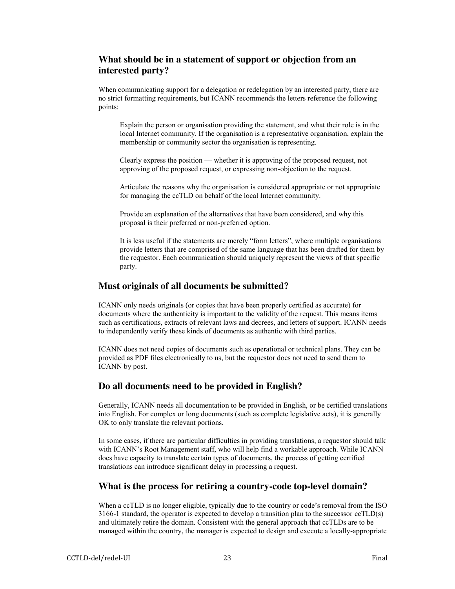## <span id="page-22-0"></span>**What should be in a statement of support or objection from an interested party?**

When communicating support for a delegation or redelegation by an interested party, there are no strict formatting requirements, but ICANN recommends the letters reference the following points:

Explain the person or organisation providing the statement, and what their role is in the local Internet community. If the organisation is a representative organisation, explain the membership or community sector the organisation is representing.

Clearly express the position — whether it is approving of the proposed request, not approving of the proposed request, or expressing non-objection to the request.

Articulate the reasons why the organisation is considered appropriate or not appropriate for managing the ccTLD on behalf of the local Internet community.

Provide an explanation of the alternatives that have been considered, and why this proposal is their preferred or non-preferred option.

It is less useful if the statements are merely "form letters", where multiple organisations provide letters that are comprised of the same language that has been drafted for them by the requestor. Each communication should uniquely represent the views of that specific party.

## **Must originals of all documents be submitted?**

ICANN only needs originals (or copies that have been properly certified as accurate) for documents where the authenticity is important to the validity of the request. This means items such as certifications, extracts of relevant laws and decrees, and letters of support. ICANN needs to independently verify these kinds of documents as authentic with third parties.

ICANN does not need copies of documents such as operational or technical plans. They can be provided as PDF files electronically to us, but the requestor does not need to send them to ICANN by post.

## **Do all documents need to be provided in English?**

Generally, ICANN needs all documentation to be provided in English, or be certified translations into English. For complex or long documents (such as complete legislative acts), it is generally OK to only translate the relevant portions.

In some cases, if there are particular difficulties in providing translations, a requestor should talk with ICANN's Root Management staff, who will help find a workable approach. While ICANN does have capacity to translate certain types of documents, the process of getting certified translations can introduce significant delay in processing a request.

## **What is the process for retiring a country-code top-level domain?**

When a ccTLD is no longer eligible, typically due to the country or code's removal from the ISO 3166-1 standard, the operator is expected to develop a transition plan to the successor ccTLD(s) and ultimately retire the domain. Consistent with the general approach that ccTLDs are to be managed within the country, the manager is expected to design and execute a locally-appropriate